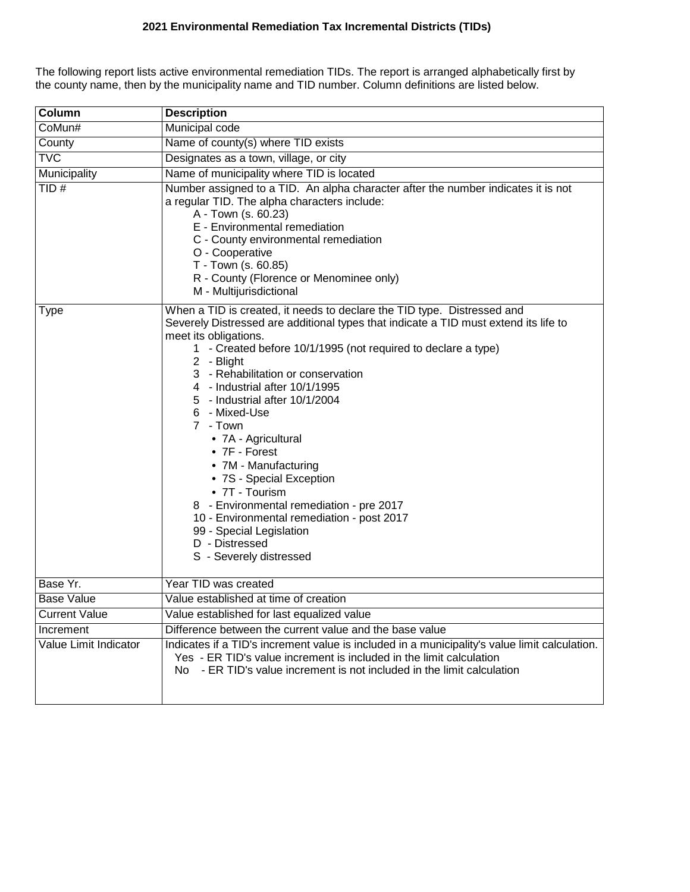## **2021 Environmental Remediation Tax Incremental Districts (TIDs)**

The following report lists active environmental remediation TIDs. The report is arranged alphabetically first by the county name, then by the municipality name and TID number. Column definitions are listed below.

| Column                | <b>Description</b>                                                                                                                                                                                                                                                                                                                                                                                                                                                                                                                                                                                                                                                                                      |  |  |  |  |  |  |
|-----------------------|---------------------------------------------------------------------------------------------------------------------------------------------------------------------------------------------------------------------------------------------------------------------------------------------------------------------------------------------------------------------------------------------------------------------------------------------------------------------------------------------------------------------------------------------------------------------------------------------------------------------------------------------------------------------------------------------------------|--|--|--|--|--|--|
| CoMun#                | Municipal code                                                                                                                                                                                                                                                                                                                                                                                                                                                                                                                                                                                                                                                                                          |  |  |  |  |  |  |
| County                | Name of county(s) where TID exists                                                                                                                                                                                                                                                                                                                                                                                                                                                                                                                                                                                                                                                                      |  |  |  |  |  |  |
| <b>TVC</b>            | Designates as a town, village, or city                                                                                                                                                                                                                                                                                                                                                                                                                                                                                                                                                                                                                                                                  |  |  |  |  |  |  |
| Municipality          | Name of municipality where TID is located                                                                                                                                                                                                                                                                                                                                                                                                                                                                                                                                                                                                                                                               |  |  |  |  |  |  |
| TID#                  | Number assigned to a TID. An alpha character after the number indicates it is not<br>a regular TID. The alpha characters include:<br>A - Town (s. 60.23)<br>E - Environmental remediation<br>C - County environmental remediation<br>O - Cooperative<br>T - Town (s. 60.85)<br>R - County (Florence or Menominee only)<br>M - Multijurisdictional                                                                                                                                                                                                                                                                                                                                                       |  |  |  |  |  |  |
| Type                  | When a TID is created, it needs to declare the TID type. Distressed and<br>Severely Distressed are additional types that indicate a TID must extend its life to<br>meet its obligations.<br>1 - Created before 10/1/1995 (not required to declare a type)<br>2 - Blight<br>3 - Rehabilitation or conservation<br>4 - Industrial after 10/1/1995<br>5 - Industrial after 10/1/2004<br>6 - Mixed-Use<br>7 - Town<br>• 7A - Agricultural<br>$\bullet$ 7F - Forest<br>• 7M - Manufacturing<br>• 7S - Special Exception<br>• 7T - Tourism<br>8 - Environmental remediation - pre 2017<br>10 - Environmental remediation - post 2017<br>99 - Special Legislation<br>D - Distressed<br>S - Severely distressed |  |  |  |  |  |  |
| Base Yr.              | Year TID was created                                                                                                                                                                                                                                                                                                                                                                                                                                                                                                                                                                                                                                                                                    |  |  |  |  |  |  |
| <b>Base Value</b>     | Value established at time of creation                                                                                                                                                                                                                                                                                                                                                                                                                                                                                                                                                                                                                                                                   |  |  |  |  |  |  |
| <b>Current Value</b>  | Value established for last equalized value                                                                                                                                                                                                                                                                                                                                                                                                                                                                                                                                                                                                                                                              |  |  |  |  |  |  |
| Increment             | Difference between the current value and the base value                                                                                                                                                                                                                                                                                                                                                                                                                                                                                                                                                                                                                                                 |  |  |  |  |  |  |
| Value Limit Indicator | Indicates if a TID's increment value is included in a municipality's value limit calculation.<br>Yes - ER TID's value increment is included in the limit calculation<br>No - ER TID's value increment is not included in the limit calculation                                                                                                                                                                                                                                                                                                                                                                                                                                                          |  |  |  |  |  |  |